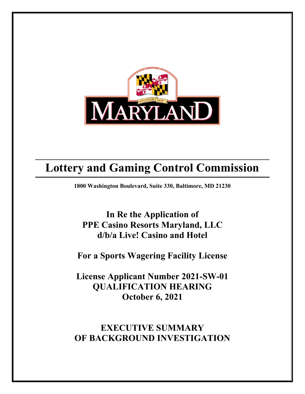

# **Lottery and Gaming Control Commission**

**1800 Washington Boulevard, Suite 330, Baltimore, MD 21230**

**In Re the Application of PPE Casino Resorts Maryland, LLC d/b/a Live! Casino and Hotel**

**For a Sports Wagering Facility License** 

**License Applicant Number 2021-SW-01 QUALIFICATION HEARING October 6, 2021**

**EXECUTIVE SUMMARY OF BACKGROUND INVESTIGATION**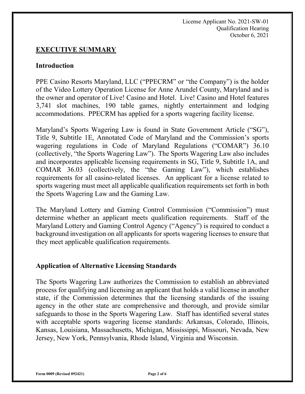License Applicant No. 2021-SW-01 Qualification Hearing October 6, 2021

#### **EXECUTIVE SUMMARY**

#### **Introduction**

PPE Casino Resorts Maryland, LLC ("PPECRM" or "the Company") is the holder of the Video Lottery Operation License for Anne Arundel County, Maryland and is the owner and operator of Live! Casino and Hotel. Live! Casino and Hotel features 3,741 slot machines, 190 table games, nightly entertainment and lodging accommodations. PPECRM has applied for a sports wagering facility license.

Maryland's Sports Wagering Law is found in State Government Article ("SG"), Title 9, Subtitle 1E, Annotated Code of Maryland and the Commission's sports wagering regulations in Code of Maryland Regulations ("COMAR") 36.10 (collectively, "the Sports Wagering Law"). The Sports Wagering Law also includes and incorporates applicable licensing requirements in SG, Title 9, Subtitle 1A, and COMAR 36.03 (collectively, the "the Gaming Law"), which establishes requirements for all casino-related licenses. An applicant for a license related to sports wagering must meet all applicable qualification requirements set forth in both the Sports Wagering Law and the Gaming Law.

The Maryland Lottery and Gaming Control Commission ("Commission") must determine whether an applicant meets qualification requirements. Staff of the Maryland Lottery and Gaming Control Agency ("Agency") is required to conduct a background investigation on all applicants for sports wagering licenses to ensure that they meet applicable qualification requirements.

#### **Application of Alternative Licensing Standards**

The Sports Wagering Law authorizes the Commission to establish an abbreviated process for qualifying and licensing an applicant that holds a valid license in another state, if the Commission determines that the licensing standards of the issuing agency in the other state are comprehensive and thorough, and provide similar safeguards to those in the Sports Wagering Law. Staff has identified several states with acceptable sports wagering license standards: Arkansas, Colorado, Illinois, Kansas, Louisiana, Massachusetts, Michigan, Mississippi, Missouri, Nevada, New Jersey, New York, Pennsylvania, Rhode Island, Virginia and Wisconsin.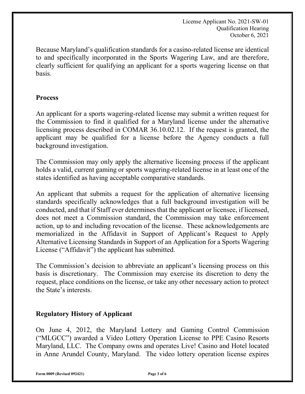License Applicant No. 2021-SW-01 Qualification Hearing October 6, 2021

Because Maryland's qualification standards for a casino-related license are identical to and specifically incorporated in the Sports Wagering Law, and are therefore, clearly sufficient for qualifying an applicant for a sports wagering license on that basis.

#### **Process**

An applicant for a sports wagering-related license may submit a written request for the Commission to find it qualified for a Maryland license under the alternative licensing process described in COMAR 36.10.02.12. If the request is granted, the applicant may be qualified for a license before the Agency conducts a full background investigation.

The Commission may only apply the alternative licensing process if the applicant holds a valid, current gaming or sports wagering-related license in at least one of the states identified as having acceptable comparative standards.

An applicant that submits a request for the application of alternative licensing standards specifically acknowledges that a full background investigation will be conducted, and that if Staff ever determines that the applicant or licensee, if licensed, does not meet a Commission standard, the Commission may take enforcement action, up to and including revocation of the license. These acknowledgements are memorialized in the Affidavit in Support of Applicant's Request to Apply Alternative Licensing Standards in Support of an Application for a Sports Wagering License ("Affidavit") the applicant has submitted.

The Commission's decision to abbreviate an applicant's licensing process on this basis is discretionary. The Commission may exercise its discretion to deny the request, place conditions on the license, or take any other necessary action to protect the State's interests.

## **Regulatory History of Applicant**

On June 4, 2012, the Maryland Lottery and Gaming Control Commission ("MLGCC") awarded a Video Lottery Operation License to PPE Casino Resorts Maryland, LLC. The Company owns and operates Live! Casino and Hotel located in Anne Arundel County, Maryland. The video lottery operation license expires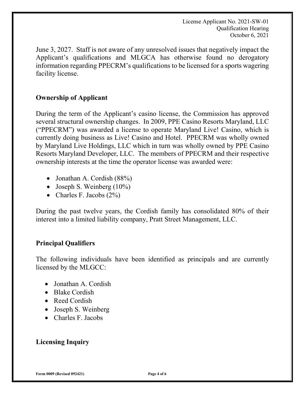License Applicant No. 2021-SW-01 Qualification Hearing October 6, 2021

June 3, 2027. Staff is not aware of any unresolved issues that negatively impact the Applicant's qualifications and MLGCA has otherwise found no derogatory information regarding PPECRM's qualifications to be licensed for a sports wagering facility license.

## **Ownership of Applicant**

During the term of the Applicant's casino license, the Commission has approved several structural ownership changes. In 2009, PPE Casino Resorts Maryland, LLC ("PPECRM") was awarded a license to operate Maryland Live! Casino, which is currently doing business as Live! Casino and Hotel. PPECRM was wholly owned by Maryland Live Holdings, LLC which in turn was wholly owned by PPE Casino Resorts Maryland Developer, LLC. The members of PPECRM and their respective ownership interests at the time the operator license was awarded were:

- Jonathan A. Cordish (88%)
- Joseph S. Weinberg (10%)
- Charles F. Jacobs (2%)

During the past twelve years, the Cordish family has consolidated 80% of their interest into a limited liability company, Pratt Street Management, LLC.

## **Principal Qualifiers**

The following individuals have been identified as principals and are currently licensed by the MLGCC:

- Jonathan A. Cordish
- Blake Cordish
- Reed Cordish
- Joseph S. Weinberg
- Charles F. Jacobs

## **Licensing Inquiry**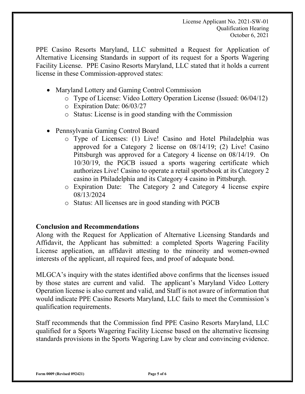PPE Casino Resorts Maryland, LLC submitted a Request for Application of Alternative Licensing Standards in support of its request for a Sports Wagering Facility License. PPE Casino Resorts Maryland, LLC stated that it holds a current license in these Commission-approved states:

- Maryland Lottery and Gaming Control Commission
	- o Type of License: Video Lottery Operation License (Issued: 06/04/12)
	- o Expiration Date: 06/03/27
	- o Status: License is in good standing with the Commission
- Pennsylvania Gaming Control Board
	- o Type of Licenses: (1) Live! Casino and Hotel Philadelphia was approved for a Category 2 license on 08/14/19; (2) Live! Casino Pittsburgh was approved for a Category 4 license on 08/14/19. On 10/30/19, the PGCB issued a sports wagering certificate which authorizes Live! Casino to operate a retail sportsbook at its Category 2 casino in Philadelphia and its Category 4 casino in Pittsburgh.
	- o Expiration Date: The Category 2 and Category 4 license expire 08/13/2024
	- o Status: All licenses are in good standing with PGCB

## **Conclusion and Recommendations**

Along with the Request for Application of Alternative Licensing Standards and Affidavit, the Applicant has submitted: a completed Sports Wagering Facility License application, an affidavit attesting to the minority and women-owned interests of the applicant, all required fees, and proof of adequate bond.

MLGCA's inquiry with the states identified above confirms that the licenses issued by those states are current and valid. The applicant's Maryland Video Lottery Operation license is also current and valid, and Staff is not aware of information that would indicate PPE Casino Resorts Maryland, LLC fails to meet the Commission's qualification requirements.

Staff recommends that the Commission find PPE Casino Resorts Maryland, LLC qualified for a Sports Wagering Facility License based on the alternative licensing standards provisions in the Sports Wagering Law by clear and convincing evidence.